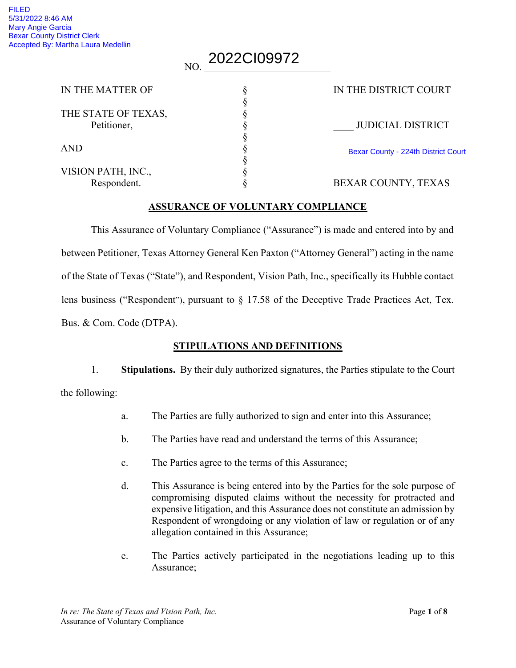# <sub>NO.</sub> 2022CI09972

| IN THE MATTER OF    | IN THE DISTRICT COURT               |
|---------------------|-------------------------------------|
|                     |                                     |
| THE STATE OF TEXAS, |                                     |
| Petitioner,         | <b>JUDICIAL DISTRICT</b>            |
|                     |                                     |
| <b>AND</b>          | Bexar County - 224th District Court |
|                     |                                     |
| VISION PATH, INC.,  |                                     |
| Respondent.         | BEXAR COUNTY, TEXAS                 |
|                     |                                     |

#### ASSURANCE OF VOLUNTARY COMPLIANCE

This Assurance of Voluntary Compliance ("Assurance") is made and entered into by and between Petitioner, Texas Attorney General Ken Paxton ("Attorney General") acting in the name of the State of Texas ("State"), and Respondent, Vision Path, Inc., specifically its Hubble contact lens business ("Respondent"), pursuant to § 17.58 of the Deceptive Trade Practices Act, Tex. Bus. & Com. Code (DTPA).

#### STIPULATIONS AND DEFINITIONS

1. Stipulations. By their duly authorized signatures, the Parties stipulate to the Court

the following:

- a. The Parties are fully authorized to sign and enter into this Assurance;
- b. The Parties have read and understand the terms of this Assurance;
- c. The Parties agree to the terms of this Assurance;
- d. This Assurance is being entered into by the Parties for the sole purpose of compromising disputed claims without the necessity for protracted and expensive litigation, and this Assurance does not constitute an admission by Respondent of wrongdoing or any violation of law or regulation or of any allegation contained in this Assurance;
- e. The Parties actively participated in the negotiations leading up to this Assurance;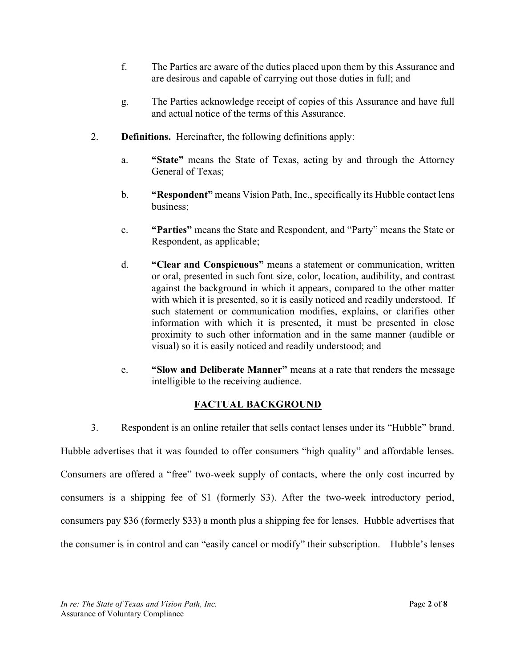- f. The Parties are aware of the duties placed upon them by this Assurance and are desirous and capable of carrying out those duties in full; and
- g. The Parties acknowledge receipt of copies of this Assurance and have full and actual notice of the terms of this Assurance.
- 2. Definitions. Hereinafter, the following definitions apply:
	- a. "State" means the State of Texas, acting by and through the Attorney General of Texas;
	- b. "Respondent" means Vision Path, Inc., specifically its Hubble contact lens business;
	- c. "Parties" means the State and Respondent, and "Party" means the State or Respondent, as applicable;
	- d. "Clear and Conspicuous" means a statement or communication, written or oral, presented in such font size, color, location, audibility, and contrast against the background in which it appears, compared to the other matter with which it is presented, so it is easily noticed and readily understood. If such statement or communication modifies, explains, or clarifies other information with which it is presented, it must be presented in close proximity to such other information and in the same manner (audible or visual) so it is easily noticed and readily understood; and
	- e. "Slow and Deliberate Manner" means at a rate that renders the message intelligible to the receiving audience.

# FACTUAL BACKGROUND

3. Respondent is an online retailer that sells contact lenses under its "Hubble" brand. Hubble advertises that it was founded to offer consumers "high quality" and affordable lenses. Consumers are offered a "free" two-week supply of contacts, where the only cost incurred by consumers is a shipping fee of \$1 (formerly \$3). After the two-week introductory period, consumers pay \$36 (formerly \$33) a month plus a shipping fee for lenses. Hubble advertises that

the consumer is in control and can "easily cancel or modify" their subscription. Hubble's lenses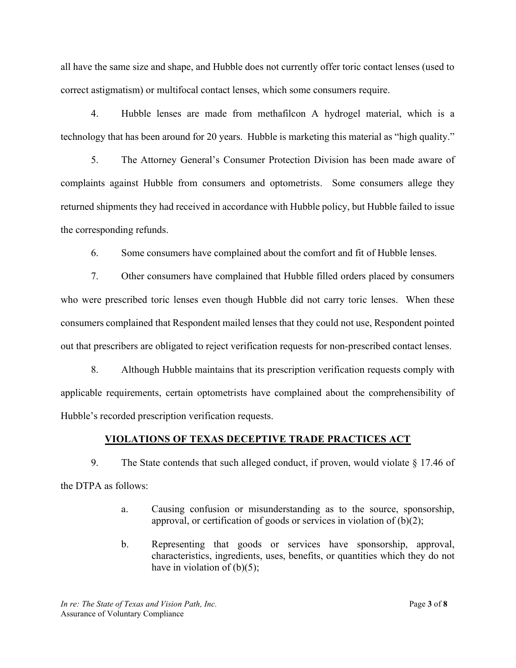all have the same size and shape, and Hubble does not currently offer toric contact lenses (used to correct astigmatism) or multifocal contact lenses, which some consumers require.

 4. Hubble lenses are made from methafilcon A hydrogel material, which is a technology that has been around for 20 years. Hubble is marketing this material as "high quality."

5. The Attorney General's Consumer Protection Division has been made aware of complaints against Hubble from consumers and optometrists. Some consumers allege they returned shipments they had received in accordance with Hubble policy, but Hubble failed to issue the corresponding refunds.

6. Some consumers have complained about the comfort and fit of Hubble lenses.

7. Other consumers have complained that Hubble filled orders placed by consumers who were prescribed toric lenses even though Hubble did not carry toric lenses. When these consumers complained that Respondent mailed lenses that they could not use, Respondent pointed out that prescribers are obligated to reject verification requests for non-prescribed contact lenses.

8. Although Hubble maintains that its prescription verification requests comply with applicable requirements, certain optometrists have complained about the comprehensibility of Hubble's recorded prescription verification requests.

# VIOLATIONS OF TEXAS DECEPTIVE TRADE PRACTICES ACT

9. The State contends that such alleged conduct, if proven, would violate § 17.46 of the DTPA as follows:

- a. Causing confusion or misunderstanding as to the source, sponsorship, approval, or certification of goods or services in violation of (b)(2);
- b. Representing that goods or services have sponsorship, approval, characteristics, ingredients, uses, benefits, or quantities which they do not have in violation of  $(b)(5)$ ;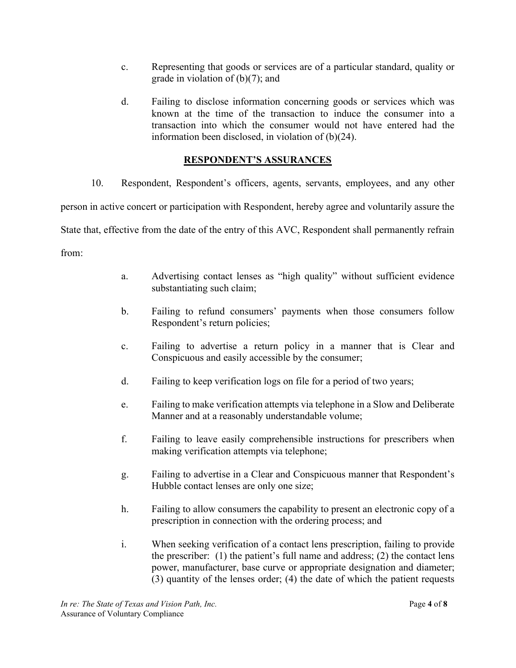- c. Representing that goods or services are of a particular standard, quality or grade in violation of (b)(7); and
- d. Failing to disclose information concerning goods or services which was known at the time of the transaction to induce the consumer into a transaction into which the consumer would not have entered had the information been disclosed, in violation of (b)(24).

# RESPONDENT'S ASSURANCES

10. Respondent, Respondent's officers, agents, servants, employees, and any other person in active concert or participation with Respondent, hereby agree and voluntarily assure the State that, effective from the date of the entry of this AVC, Respondent shall permanently refrain from:

- a. Advertising contact lenses as "high quality" without sufficient evidence substantiating such claim;
- b. Failing to refund consumers' payments when those consumers follow Respondent's return policies;
- c. Failing to advertise a return policy in a manner that is Clear and Conspicuous and easily accessible by the consumer;
- d. Failing to keep verification logs on file for a period of two years;
- e. Failing to make verification attempts via telephone in a Slow and Deliberate Manner and at a reasonably understandable volume;
- f. Failing to leave easily comprehensible instructions for prescribers when making verification attempts via telephone;
- g. Failing to advertise in a Clear and Conspicuous manner that Respondent's Hubble contact lenses are only one size;
- h. Failing to allow consumers the capability to present an electronic copy of a prescription in connection with the ordering process; and
- i. When seeking verification of a contact lens prescription, failing to provide the prescriber: (1) the patient's full name and address; (2) the contact lens power, manufacturer, base curve or appropriate designation and diameter; (3) quantity of the lenses order; (4) the date of which the patient requests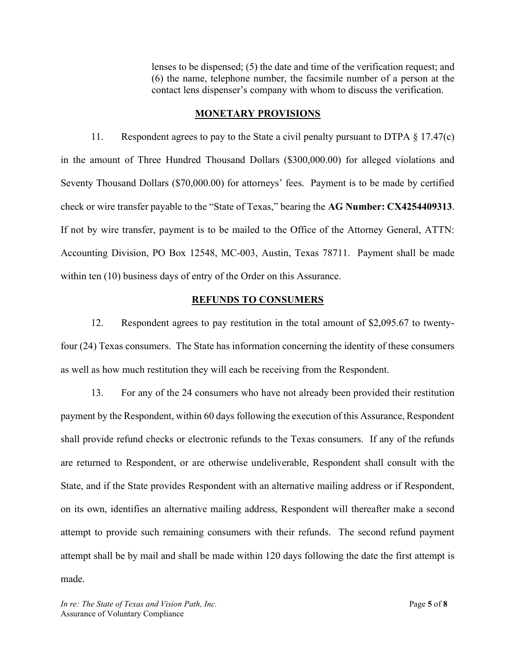lenses to be dispensed; (5) the date and time of the verification request; and (6) the name, telephone number, the facsimile number of a person at the contact lens dispenser's company with whom to discuss the verification.

#### MONETARY PROVISIONS

11. Respondent agrees to pay to the State a civil penalty pursuant to DTPA § 17.47(c) in the amount of Three Hundred Thousand Dollars (\$300,000.00) for alleged violations and Seventy Thousand Dollars (\$70,000.00) for attorneys' fees. Payment is to be made by certified check or wire transfer payable to the "State of Texas," bearing the AG Number: CX4254409313. If not by wire transfer, payment is to be mailed to the Office of the Attorney General, ATTN: Accounting Division, PO Box 12548, MC-003, Austin, Texas 78711. Payment shall be made within ten (10) business days of entry of the Order on this Assurance.

#### REFUNDS TO CONSUMERS

12. Respondent agrees to pay restitution in the total amount of \$2,095.67 to twentyfour (24) Texas consumers. The State has information concerning the identity of these consumers as well as how much restitution they will each be receiving from the Respondent.

13. For any of the 24 consumers who have not already been provided their restitution payment by the Respondent, within 60 days following the execution of this Assurance, Respondent shall provide refund checks or electronic refunds to the Texas consumers. If any of the refunds are returned to Respondent, or are otherwise undeliverable, Respondent shall consult with the State, and if the State provides Respondent with an alternative mailing address or if Respondent, on its own, identifies an alternative mailing address, Respondent will thereafter make a second attempt to provide such remaining consumers with their refunds. The second refund payment attempt shall be by mail and shall be made within 120 days following the date the first attempt is made.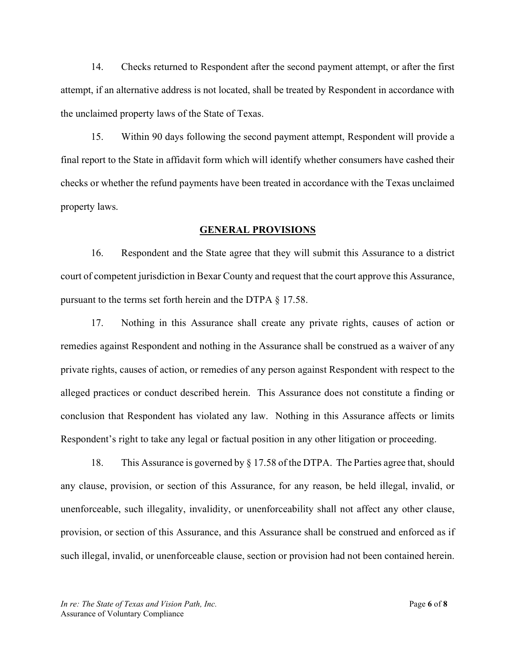14. Checks returned to Respondent after the second payment attempt, or after the first attempt, if an alternative address is not located, shall be treated by Respondent in accordance with the unclaimed property laws of the State of Texas.

15. Within 90 days following the second payment attempt, Respondent will provide a final report to the State in affidavit form which will identify whether consumers have cashed their checks or whether the refund payments have been treated in accordance with the Texas unclaimed property laws.

#### GENERAL PROVISIONS

16. Respondent and the State agree that they will submit this Assurance to a district court of competent jurisdiction in Bexar County and request that the court approve this Assurance, pursuant to the terms set forth herein and the DTPA § 17.58.

17. Nothing in this Assurance shall create any private rights, causes of action or remedies against Respondent and nothing in the Assurance shall be construed as a waiver of any private rights, causes of action, or remedies of any person against Respondent with respect to the alleged practices or conduct described herein. This Assurance does not constitute a finding or conclusion that Respondent has violated any law. Nothing in this Assurance affects or limits Respondent's right to take any legal or factual position in any other litigation or proceeding.

18. This Assurance is governed by § 17.58 of the DTPA. The Parties agree that, should any clause, provision, or section of this Assurance, for any reason, be held illegal, invalid, or unenforceable, such illegality, invalidity, or unenforceability shall not affect any other clause, provision, or section of this Assurance, and this Assurance shall be construed and enforced as if such illegal, invalid, or unenforceable clause, section or provision had not been contained herein.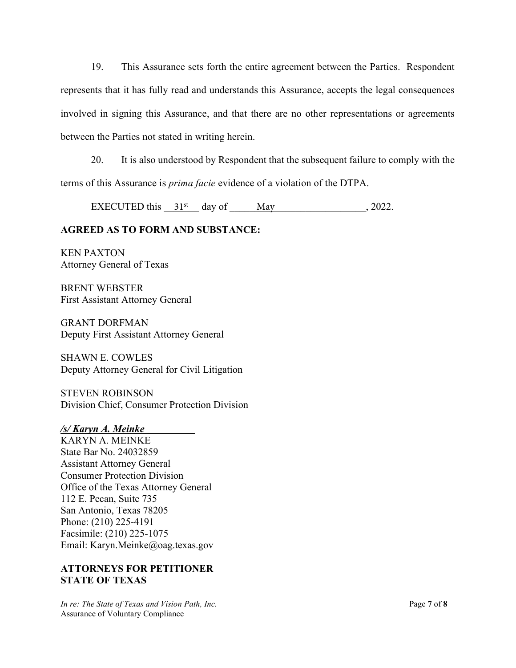19. This Assurance sets forth the entire agreement between the Parties. Respondent represents that it has fully read and understands this Assurance, accepts the legal consequences involved in signing this Assurance, and that there are no other representations or agreements between the Parties not stated in writing herein.

20. It is also understood by Respondent that the subsequent failure to comply with the terms of this Assurance is prima facie evidence of a violation of the DTPA.

EXECUTED this  $31^{st}$  day of May  $\qquad \qquad$  2022.

# AGREED AS TO FORM AND SUBSTANCE:

KEN PAXTON Attorney General of Texas

BRENT WEBSTER First Assistant Attorney General

GRANT DORFMAN Deputy First Assistant Attorney General

SHAWN E. COWLES Deputy Attorney General for Civil Litigation

STEVEN ROBINSON Division Chief, Consumer Protection Division

# /s/ Karyn A. Meinke\_\_\_\_\_\_\_\_\_\_

KARYN A. MEINKE State Bar No. 24032859 Assistant Attorney General Consumer Protection Division Office of the Texas Attorney General 112 E. Pecan, Suite 735 San Antonio, Texas 78205 Phone: (210) 225-4191 Facsimile: (210) 225-1075 Email: Karyn.Meinke@oag.texas.gov

# ATTORNEYS FOR PETITIONER STATE OF TEXAS

In re: The State of Texas and Vision Path, Inc.  $\frac{d}{dx}$  and Page 7 of 8 Assurance of Voluntary Compliance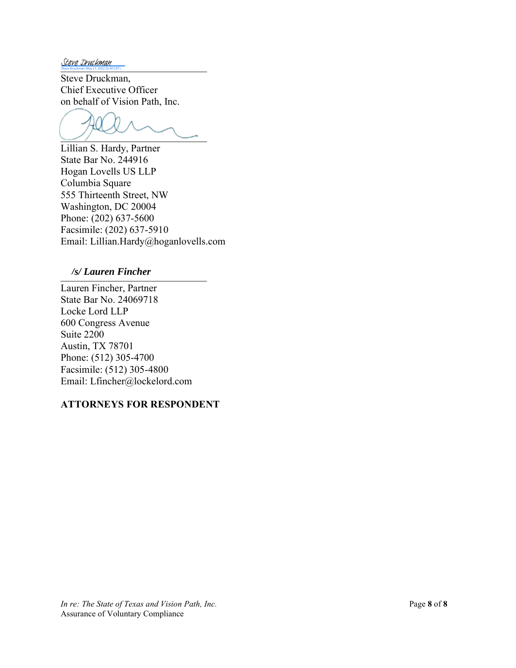Steve Druckman Steve Druckman (May 17, 2022 22:40 CDT)

Steve Druckman, Chief Executive Officer on behalf of Vision Path, Inc.

 $\cup$  ,  $\cup$ 

Lillian S. Hardy, Partner State Bar No. 244916 Hogan Lovells US LLP Columbia Square 555 Thirteenth Street, NW Washington, DC 20004 Phone: (202) 637-5600 Facsimile: (202) 637-5910 Email: Lillian.Hardy@hoganlovells.com

# \_\_\_\_\_\_\_\_\_\_\_\_\_\_\_\_\_\_\_\_\_\_\_\_\_\_\_\_\_ */s/ Lauren Fincher*

Lauren Fincher, Partner State Bar No. 24069718 Locke Lord LLP 600 Congress Avenue Suite 2200 Austin, TX 78701 Phone: (512) 305-4700 Facsimile: (512) 305-4800 Email: Lfincher@lockelord.com

#### ATTORNEYS FOR RESPONDENT